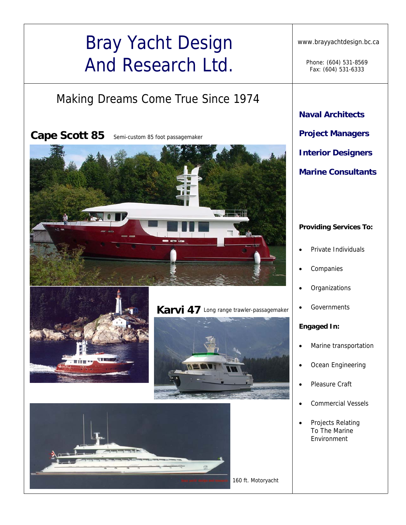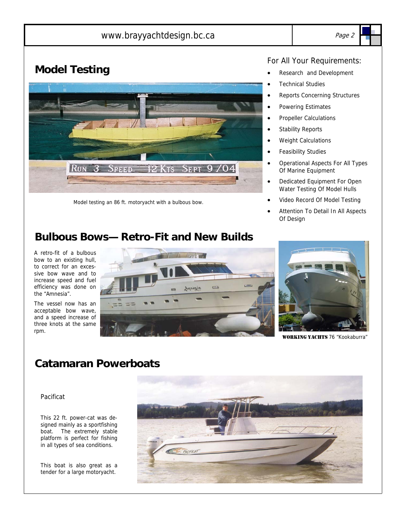### www.brayyachtdesign.bc.ca Page 2



## **Model Testing**



Model testing an 86 ft. motoryacht with a bulbous bow.

#### For All Your Requirements:

- Research and Development
- **Technical Studies**
- Reports Concerning Structures
- Powering Estimates
- Propeller Calculations
- Stability Reports
- Weight Calculations
- Feasibility Studies
- Operational Aspects For All Types Of Marine Equipment
- Dedicated Equipment For Open Water Testing Of Model Hulls
- Video Record Of Model Testing
- Attention To Detail In All Aspects Of Design

## **Bulbous Bows— Retro-Fit and New Builds**

A retro-fit of a bulbous bow to an existing hull, to correct for an excessive bow wave and to increase speed and fuel efficiency was done on the "Amnesia".

The vessel now has an acceptable bow wave, and a speed increase of three knots at the same rpm.





WORKING YACHTS 76 "Kookaburra"

## **Catamaran Powerboats**

#### Pacificat

This 22 ft. power-cat was designed mainly as a sportfishing boat. The extremely stable platform is perfect for fishing in all types of sea conditions.

This boat is also great as a tender for a large motoryacht.

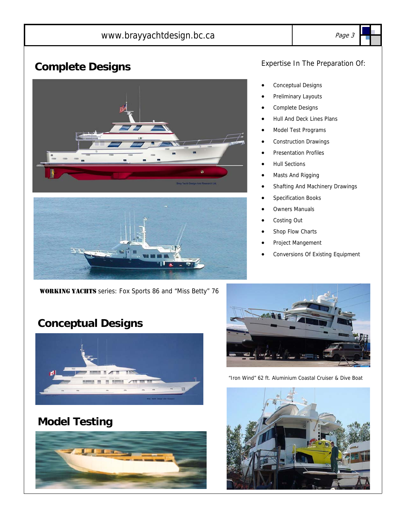## www.brayyachtdesign.bc.ca Page 3

# **Complete Designs**





WORKING YACHTS series: Fox Sports 86 and "Miss Betty" 76

# **Conceptual Designs**



## **Model Testing**



#### Expertise In The Preparation Of:

- Conceptual Designs
- Preliminary Layouts
- Complete Designs
- Hull And Deck Lines Plans
- Model Test Programs
- Construction Drawings
- Presentation Profiles
- Hull Sections
- Masts And Rigging
- Shafting And Machinery Drawings
- Specification Books
- **Owners Manuals**
- Costing Out
- Shop Flow Charts
- Project Mangement
- Conversions Of Existing Equipment



"Iron Wind" 62 ft. Aluminium Coastal Cruiser & Dive Boat